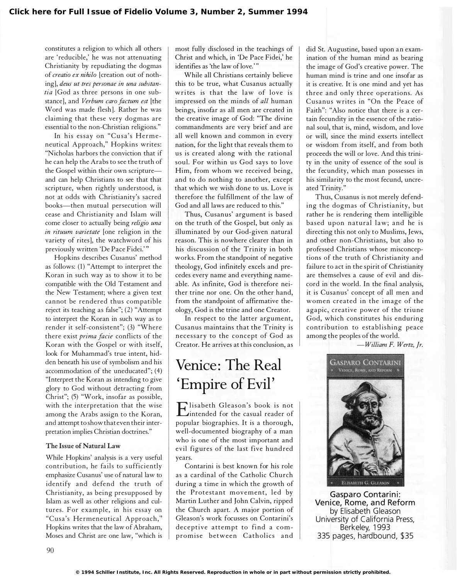constitutes a religion to which all others are 'reducible,' he was not attenuating Christianity by repudiating the dogmas of creatio ex nihilo [creation out of nothing], deus ut tres personae in una substantia [God as three persons in one substance], and Verbum caro factum est [the Word was made flesh]. Rather he was claiming that these very dogmas are essential to the non-Christian religions."

In his essay on "Cusa's Hermeneutical Approach," Hopkins writes: "Nicholas harbors the conviction that if he can help the Arabs to see the truth of the Gospel within their own scriptureand can help Christians to see that that scripture, when rightly understood, is not at odds with Christianity's sacred books-then mutual persecution will cease and Christianity and Islam will come closer to actually being religio una in rituum varietate [one religion in the variety of rites], the watchword of his previously written 'De Pace Fidei.'"

Hopkins describes Cusanus' method as follows: (1) "Attempt to interpret the Koran in such way as to show it to be compatible with the Old Testament and the New Testament; where a given text cannot be rendered thus compatible reject its teaching as false"; (2) "Attempt to interpret the Koran in such way as to render it self-consistent"; (3) "Where there exist prima facie conflicts of the Koran with the Gospel or with itself, look for Muhammad's true intent, hidden beneath his use of symbolism and his accommodation of the uneducated"; (4) "Interpret the Koran as intending to give glory to God without detracting from Christ"; (5) "Work, insofar as possible, with the interpretation that the wise among the Arabs assign to the Koran, and attempt to show that even their interpretation implies Christian doctrines."

## The Issue of Natural Law

While Hopkins' analysis is a very useful contribution, he fails to sufficiently emphasize Cusanus' use of natural law to identify and defend the truth of Christianity, as being presupposed by Islam as well as other religions and cultures. For example, in his essay on "Cusa's Hermeneutical Approach," Hopkins writes that the law of Abraham, Moses and Christ are one law, "which is

most fully disclosed in the teachings of Christ and which, in 'De Pace Fidei,' he identifies as 'the law of love.'"

While all Christians certainly believe this to be true, what Cusanus actually writes is that the law of love is impressed on the minds of all human beings, insofar as all men are created in the creative image of God: "The divine commandments are very brief and are all well known and common in every nation, for the light that reveals them to us is created along with the rational soul. For within us God says to love Him, from whom we received being, and to do nothing to another, except that which we wish done to us. Love is therefore the ful fillment of the law of God and all laws are reduced to this."

Thus, Cusanus' argument is based on the truth of the Gospel, but only as illuminated by our God-given natural reason. This is nowhere clearer than in his discussion of the Trinity in both works. From the standpoint of negative theology, God infinitely excels and precedes every name and everything nameable. As infinite, God is therefore neither trine nor one. On the other hand, from the standpoint of affirmative theology, God is the trine and one Creator.

In respect to the latter argument, Cusanus maintains that the Trinity is necessary to the concept of God as Creator. He arrives at this conclusion, as

# Venice: The Real 'Empire of Evil'

**E** lisabeth Gleason's book is not<br>intended for the casual reader of intended for the casual reader of popular biographies. It is a thorough, well-documented biography of a man who is one of the most important and evil figures of the last five hundred years.

Contarini is best known for his role as a cardinal of the Catholic Church during a time in which the growth of the Protestant movement, led by Martin Luther and John Calvin, ripped the Church apart. A major portion of Gleason's work focusses on Contarini's deceptive attempt to find a compromise between Catholics and did St. Augustine, based upon an examination of the human mind as bearing the image of God's creative power. The human mind is trine and one insofar as it is creative. It is one mind and yet has three and only three operations. As Cusanus writes in "On the Peace of Faith": "Also notice that there is a certain fecundity in the essence of the rational soul, that is, mind, wisdom, and love or will, since the mind exserts intellect or wisdom from itself, and from both proceeds the will or love. And this trinity in the unity of essence of the soul is the fecundity, which man possesses in his similarity to the most fecund, uncreated Trinity."

Thus, Cusanus is not merely defending the dogmas of Christianity, but rather he is rendering them intelligible based upon natural law; and he is directing this not only to Muslims, Jews, and other non-Christians, but also to professed Christians whose misconceptions of the truth of Christianity and failure to act in the spirit of Christianity are themselves a cause of evil and discord in the world. In the final analysis, it is Cusanus' concept of all men and women created in the image of the agapic, creative power of the triune God, which constitutes his enduring contribution to establishing peace among the peoples of the world.

-William F. Wertz, Jr.



Gasparo Contarini: Venice, Rome, and Reform by Elisabeth Gleason University of California Press, Berkeley, 1993 335 pages, hardbound, \$35